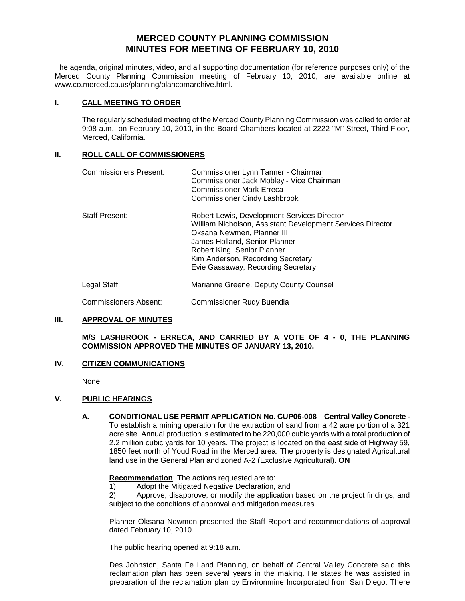## **MERCED COUNTY PLANNING COMMISSION MINUTES FOR MEETING OF FEBRUARY 10, 2010**

The agenda, original minutes, video, and all supporting documentation (for reference purposes only) of the Merced County Planning Commission meeting of February 10, 2010, are available online at www.co.merced.ca.us/planning/plancomarchive.html.

## **I. CALL MEETING TO ORDER**

The regularly scheduled meeting of the Merced County Planning Commission was called to order at 9:08 a.m., on February 10, 2010, in the Board Chambers located at 2222 "M" Street, Third Floor, Merced, California.

## **II. ROLL CALL OF COMMISSIONERS**

| <b>Commissioners Present:</b> | Commissioner Lynn Tanner - Chairman<br>Commissioner Jack Mobley - Vice Chairman<br><b>Commissioner Mark Erreca</b><br>Commissioner Cindy Lashbrook                                                                                                                                 |  |  |  |
|-------------------------------|------------------------------------------------------------------------------------------------------------------------------------------------------------------------------------------------------------------------------------------------------------------------------------|--|--|--|
| Staff Present:                | Robert Lewis, Development Services Director<br>William Nicholson, Assistant Development Services Director<br>Oksana Newmen, Planner III<br>James Holland, Senior Planner<br>Robert King, Senior Planner<br>Kim Anderson, Recording Secretary<br>Evie Gassaway, Recording Secretary |  |  |  |
| Legal Staff:                  | Marianne Greene, Deputy County Counsel                                                                                                                                                                                                                                             |  |  |  |
| Commissioners Absent:         | Commissioner Rudy Buendia                                                                                                                                                                                                                                                          |  |  |  |

## **III. APPROVAL OF MINUTES**

**M/S LASHBROOK - ERRECA, AND CARRIED BY A VOTE OF 4 - 0, THE PLANNING COMMISSION APPROVED THE MINUTES OF JANUARY 13, 2010.**

## **IV. CITIZEN COMMUNICATIONS**

None

## **V. PUBLIC HEARINGS**

**A. CONDITIONAL USE PERMIT APPLICATION No. CUP06-008 – Central Valley Concrete -** To establish a mining operation for the extraction of sand from a 42 acre portion of a 321 acre site. Annual production is estimated to be 220,000 cubic yards with a total production of 2.2 million cubic yards for 10 years. The project is located on the east side of Highway 59, 1850 feet north of Youd Road in the Merced area. The property is designated Agricultural land use in the General Plan and zoned A-2 (Exclusive Agricultural). **ON**

**Recommendation** : The actions requested are to:

1) Adopt the Mitigated Negative Declaration, and

2) Approve, disapprove, or modify the application based on the project findings, and subject to the conditions of approval and mitigation measures.

Planner Oksana Newmen presented the Staff Report and recommendations of approval dated February 10, 2010.

The public hearing opened at 9:18 a.m.

Des Johnston, Santa Fe Land Planning, on behalf of Central Valley Concrete said this reclamation plan has been several years in the making. He states he was assisted in preparation of the reclamation plan by Environmine Incorporated from San Diego. There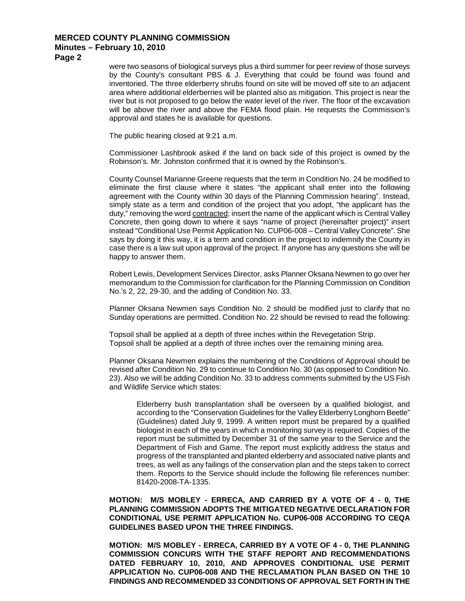**Page 2**

were two seasons of biological surveys plus a third summer for peer review of those surveys by the County's consultant PBS & J. Everything that could be found was found and inventoried. The three elderberry shrubs found on site will be moved off site to an adjacent area where additional elderberries will be planted also as mitigation. This project is near the river but is not proposed to go below the water level of the river. The floor of the excavation will be above the river and above the FEMA flood plain. He requests the Commission's approval and states he is available for questions.

The public hearing closed at 9:21 a.m.

Commissioner Lashbrook asked if the land on back side of this project is owned by the Robinson's. Mr. Johnston confirmed that it is owned by the Robinson's.

County Counsel Marianne Greene requests that the term in Condition No. 24 be modified to eliminate the first clause where it states "the applicant shall enter into the following agreement with the County within 30 days of the Planning Commission hearing". Instead, simply state as a term and condition of the project that you adopt, "the applicant has the duty," removing the word contracted; insert the name of the applicant which is Central Valley Concrete, then going down to where it says "name of project (hereinafter project)" insert instead "Conditional Use Permit Application No. CUP06-008 – Central Valley Concrete". She says by doing it this way, it is a term and condition in the project to indemnify the County in case there is a law suit upon approval of the project. If anyone has any questions she will be happy to answer them.

Robert Lewis, Development Services Director, asks Planner Oksana Newmen to go over her memorandum to the Commission for clarification for the Planning Commission on Condition No.'s 2, 22, 29-30, and the adding of Condition No. 33.

Planner Oksana Newmen says Condition No. 2 should be modified just to clarify that no Sunday operations are permitted. Condition No. 22 should be revised to read the following:

Topsoil shall be applied at a depth of three inches within the Revegetation Strip. Topsoil shall be applied at a depth of three inches over the remaining mining area.

Planner Oksana Newmen explains the numbering of the Conditions of Approval should be revised after Condition No. 29 to continue to Condition No. 30 (as opposed to Condition No. 23). Also we will be adding Condition No. 33 to address comments submitted by the US Fish and Wildlife Service which states:

Elderberry bush transplantation shall be overseen by a qualified biologist, and according to the "Conservation Guidelines for the Valley Elderberry Longhorn Beetle" (Guidelines) dated July 9, 1999. A written report must be prepared by a qualified biologist in each of the years in which a monitoring survey is required. Copies of the report must be submitted by December 31 of the same year to the Service and the Department of Fish and Game. The report must explicitly address the status and progress of the transplanted and planted elderberry and associated native plants and trees, as well as any failings of the conservation plan and the steps taken to correct them. Reports to the Service should include the following file references number: 81420-2008-TA-1335.

**MOTION: M/S MOBLEY - ERRECA, AND CARRIED BY A VOTE OF 4 - 0, THE PLANNING COMMISSION ADOPTS THE MITIGATED NEGATIVE DECLARATION FOR CONDITIONAL USE PERMIT APPLICATION No. CUP06-008 ACCORDING TO CEQA GUIDELINES BASED UPON THE THREE FINDINGS.**

**MOTION: M/S MOBLEY - ERRECA, CARRIED BY A VOTE OF 4 - 0, THE PLANNING COMMISSION CONCURS WITH THE STAFF REPORT AND RECOMMENDATIONS DATED FEBRUARY 10, 2010, AND APPROVES CONDITIONAL USE PERMIT APPLICATION No. CUP06-008 AND THE RECLAMATION PLAN BASED ON THE 10 FINDINGS AND RECOMMENDED 33 CONDITIONS OF APPROVAL SET FORTH IN THE**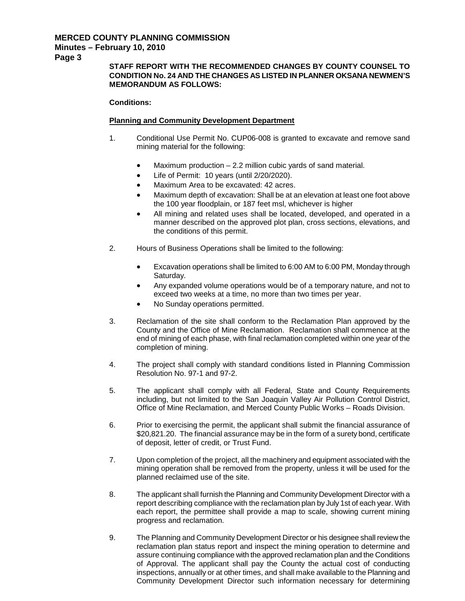**Page 3**

## **STAFF REPORT WITH THE RECOMMENDED CHANGES BY COUNTY COUNSEL TO CONDITION No. 24 AND THE CHANGES AS LISTED IN PLANNER OKSANA NEWMEN'S MEMORANDUM AS FOLLOWS:**

#### **Conditions:**

#### **Planning and Community Development Department**

- 1. Conditional Use Permit No. CUP06-008 is granted to excavate and remove sand mining material for the following:
	- Maximum production 2.2 million cubic yards of sand material.
	- Life of Permit: 10 years (until 2/20/2020).
	- Maximum Area to be excavated: 42 acres.
	- Maximum depth of excavation: Shall be at an elevation at least one foot above the 100 year floodplain, or 187 feet msl, whichever is higher
	- All mining and related uses shall be located, developed, and operated in a manner described on the approved plot plan, cross sections, elevations, and the conditions of this permit.
- 2. Hours of Business Operations shall be limited to the following:
	- Excavation operations shall be limited to 6:00 AM to 6:00 PM, Monday through Saturday.
	- Any expanded volume operations would be of a temporary nature, and not to exceed two weeks at a time, no more than two times per year.
	- No Sunday operations permitted.
- 3. Reclamation of the site shall conform to the Reclamation Plan approved by the County and the Office of Mine Reclamation. Reclamation shall commence at the end of mining of each phase, with final reclamation completed within one year of the completion of mining.
- 4. The project shall comply with standard conditions listed in Planning Commission Resolution No. 97-1 and 97-2.
- 5. The applicant shall comply with all Federal, State and County Requirements including, but not limited to the San Joaquin Valley Air Pollution Control District, Office of Mine Reclamation, and Merced County Public Works – Roads Division.
- 6. Prior to exercising the permit, the applicant shall submit the financial assurance of \$20,821.20. The financial assurance may be in the form of a surety bond, certificate of deposit, letter of credit, or Trust Fund.
- 7. Upon completion of the project, all the machinery and equipment associated with the mining operation shall be removed from the property, unless it will be used for the planned reclaimed use of the site.
- 8. The applicant shall furnish the Planning and Community Development Director with a report describing compliance with the reclamation plan by July 1st of each year. With each report, the permittee shall provide a map to scale, showing current mining progress and reclamation.
- 9. The Planning and Community Development Director or his designee shall review the reclamation plan status report and inspect the mining operation to determine and assure continuing compliance with the approved reclamation plan and the Conditions of Approval. The applicant shall pay the County the actual cost of conducting inspections, annually or at other times, and shall make available to the Planning and Community Development Director such information necessary for determining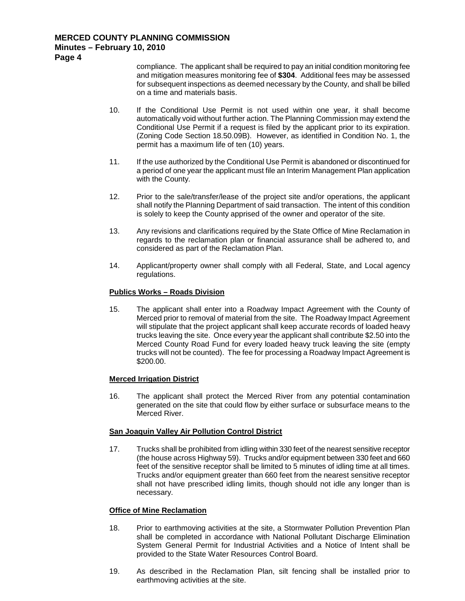## **MERCED COUNTY PLANNING COMMISSION**

## **Minutes – February 10, 2010**

**Page 4**

compliance. The applicant shall be required to pay an initial condition monitoring fee and mitigation measures monitoring fee of **\$304**. Additional fees may be assessed for subsequent inspections as deemed necessary by the County, and shall be billed on a time and materials basis.

- 10. If the Conditional Use Permit is not used within one year, it shall become automatically void without further action. The Planning Commission may extend the Conditional Use Permit if a request is filed by the applicant prior to its expiration. (Zoning Code Section 18.50.09B). However, as identified in Condition No. 1, the permit has a maximum life of ten (10) years.
- 11. If the use authorized by the Conditional Use Permit is abandoned or discontinued for a period of one year the applicant must file an Interim Management Plan application with the County.
- 12. Prior to the sale/transfer/lease of the project site and/or operations, the applicant shall notify the Planning Department of said transaction. The intent of this condition is solely to keep the County apprised of the owner and operator of the site.
- 13. Any revisions and clarifications required by the State Office of Mine Reclamation in regards to the reclamation plan or financial assurance shall be adhered to, and considered as part of the Reclamation Plan.
- 14. Applicant/property owner shall comply with all Federal, State, and Local agency regulations.

## **Publics Works – Roads Division**

15. The applicant shall enter into a Roadway Impact Agreement with the County of Merced prior to removal of material from the site. The Roadway Impact Agreement will stipulate that the project applicant shall keep accurate records of loaded heavy trucks leaving the site. Once every year the applicant shall contribute \$2.50 into the Merced County Road Fund for every loaded heavy truck leaving the site (empty trucks will not be counted). The fee for processing a Roadway Impact Agreement is \$200.00.

#### **Merced Irrigation District**

16. The applicant shall protect the Merced River from any potential contamination generated on the site that could flow by either surface or subsurface means to the Merced River.

#### **San Joaquin Valley Air Pollution Control District**

17. Trucks shall be prohibited from idling within 330 feet of the nearest sensitive receptor (the house across Highway 59). Trucks and/or equipment between 330 feet and 660 feet of the sensitive receptor shall be limited to 5 minutes of idling time at all times. Trucks and/or equipment greater than 660 feet from the nearest sensitive receptor shall not have prescribed idling limits, though should not idle any longer than is necessary.

#### **Office of Mine Reclamation**

- 18. Prior to earthmoving activities at the site, a Stormwater Pollution Prevention Plan shall be completed in accordance with National Pollutant Discharge Elimination System General Permit for Industrial Activities and a Notice of Intent shall be provided to the State Water Resources Control Board.
- 19. As described in the Reclamation Plan, silt fencing shall be installed prior to earthmoving activities at the site.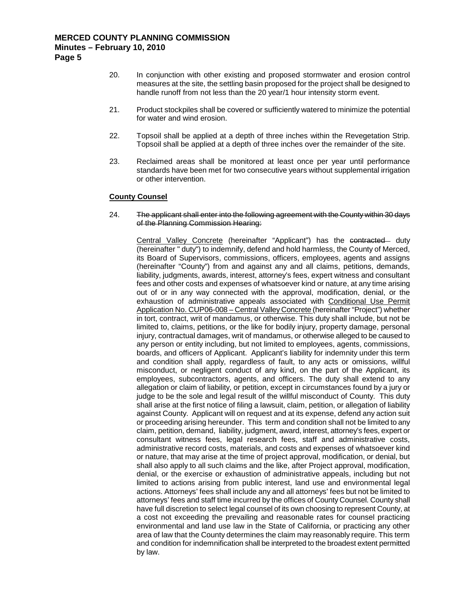20. In conjunction with other existing and proposed stormwater and erosion control measures at the site, the settling basin proposed for the project shall be designed to handle runoff from not less than the 20 year/1 hour intensity storm event.

- 21. Product stockpiles shall be covered or sufficiently watered to minimize the potential for water and wind erosion.
- 22. Topsoil shall be applied at a depth of three inches within the Revegetation Strip. Topsoil shall be applied at a depth of three inches over the remainder of the site.
- 23. Reclaimed areas shall be monitored at least once per year until performance standards have been met for two consecutive years without supplemental irrigation or other intervention.

#### **County Counsel**

24. The applicant shall enter into the following agreement with the County within 30 days of the Planning Commission Hearing:

Central Valley Concrete (hereinafter "Applicant") has the contracted - duty (hereinafter " duty") to indemnify, defend and hold harmless, the County of Merced, its Board of Supervisors, commissions, officers, employees, agents and assigns (hereinafter "County") from and against any and all claims, petitions, demands, liability, judgments, awards, interest, attorney's fees, expert witness and consultant fees and other costs and expenses of whatsoever kind or nature, at any time arising out of or in any way connected with the approval, modification, denial, or the exhaustion of administrative appeals associated with Conditional Use Permit Application No. CUP06-008 – Central Valley Concrete (hereinafter "Project") whether in tort, contract, writ of mandamus, or otherwise. This duty shall include, but not be limited to, claims, petitions, or the like for bodily injury, property damage, personal injury, contractual damages, writ of mandamus, or otherwise alleged to be caused to any person or entity including, but not limited to employees, agents, commissions, boards, and officers of Applicant. Applicant's liability for indemnity under this term and condition shall apply, regardless of fault, to any acts or omissions, willful misconduct, or negligent conduct of any kind, on the part of the Applicant, its employees, subcontractors, agents, and officers. The duty shall extend to any allegation or claim of liability, or petition, except in circumstances found by a jury or judge to be the sole and legal result of the willful misconduct of County. This duty shall arise at the first notice of filing a lawsuit, claim, petition, or allegation of liability against County. Applicant will on request and at its expense, defend any action suit or proceeding arising hereunder. This term and condition shall not be limited to any claim, petition, demand, liability, judgment, award, interest, attorney's fees, expert or consultant witness fees, legal research fees, staff and administrative costs, administrative record costs, materials, and costs and expenses of whatsoever kind or nature, that may arise at the time of project approval, modification, or denial, but shall also apply to all such claims and the like, after Project approval, modification, denial, or the exercise or exhaustion of administrative appeals, including but not limited to actions arising from public interest, land use and environmental legal actions. Attorneys' fees shall include any and all attorneys' fees but not be limited to attorneys' fees and staff time incurred by the offices of County Counsel. County shall have full discretion to select legal counsel of its own choosing to represent County, at a cost not exceeding the prevailing and reasonable rates for counsel practicing environmental and land use law in the State of California, or practicing any other area of law that the County determines the claim may reasonably require. This term and condition for indemnification shall be interpreted to the broadest extent permitted by law.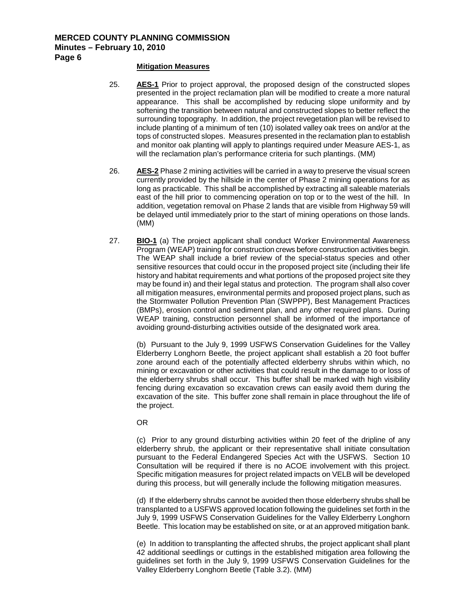#### **Mitigation Measures**

- 25. **AES-1** Prior to project approval, the proposed design of the constructed slopes presented in the project reclamation plan will be modified to create a more natural appearance. This shall be accomplished by reducing slope uniformity and by softening the transition between natural and constructed slopes to better reflect the surrounding topography. In addition, the project revegetation plan will be revised to include planting of a minimum of ten (10) isolated valley oak trees on and/or at the tops of constructed slopes. Measures presented in the reclamation plan to establish and monitor oak planting will apply to plantings required under Measure AES-1, as will the reclamation plan's performance criteria for such plantings. (MM)
- 26. **AES-2** Phase 2 mining activities will be carried in a way to preserve the visual screen currently provided by the hillside in the center of Phase 2 mining operations for as long as practicable. This shall be accomplished by extracting all saleable materials east of the hill prior to commencing operation on top or to the west of the hill. In addition, vegetation removal on Phase 2 lands that are visible from Highway 59 will be delayed until immediately prior to the start of mining operations on those lands. (MM)
- 27. **BIO-1** (a) The project applicant shall conduct Worker Environmental Awareness Program (WEAP) training for construction crews before construction activities begin. The WEAP shall include a brief review of the special-status species and other sensitive resources that could occur in the proposed project site (including their life history and habitat requirements and what portions of the proposed project site they may be found in) and their legal status and protection. The program shall also cover all mitigation measures, environmental permits and proposed project plans, such as the Stormwater Pollution Prevention Plan (SWPPP), Best Management Practices (BMPs), erosion control and sediment plan, and any other required plans. During WEAP training, construction personnel shall be informed of the importance of avoiding ground-disturbing activities outside of the designated work area.

(b) Pursuant to the July 9, 1999 USFWS Conservation Guidelines for the Valley Elderberry Longhorn Beetle, the project applicant shall establish a 20 foot buffer zone around each of the potentially affected elderberry shrubs within which, no mining or excavation or other activities that could result in the damage to or loss of the elderberry shrubs shall occur. This buffer shall be marked with high visibility fencing during excavation so excavation crews can easily avoid them during the excavation of the site. This buffer zone shall remain in place throughout the life of the project.

#### OR

(c) Prior to any ground disturbing activities within 20 feet of the dripline of any elderberry shrub, the applicant or their representative shall initiate consultation pursuant to the Federal Endangered Species Act with the USFWS. Section 10 Consultation will be required if there is no ACOE involvement with this project. Specific mitigation measures for project related impacts on VELB will be developed during this process, but will generally include the following mitigation measures.

(d) If the elderberry shrubs cannot be avoided then those elderberry shrubs shall be transplanted to a USFWS approved location following the guidelines set forth in the July 9, 1999 USFWS Conservation Guidelines for the Valley Elderberry Longhorn Beetle. This location may be established on site, or at an approved mitigation bank.

(e) In addition to transplanting the affected shrubs, the project applicant shall plant 42 additional seedlings or cuttings in the established mitigation area following the guidelines set forth in the July 9, 1999 USFWS Conservation Guidelines for the Valley Elderberry Longhorn Beetle (Table 3.2). (MM)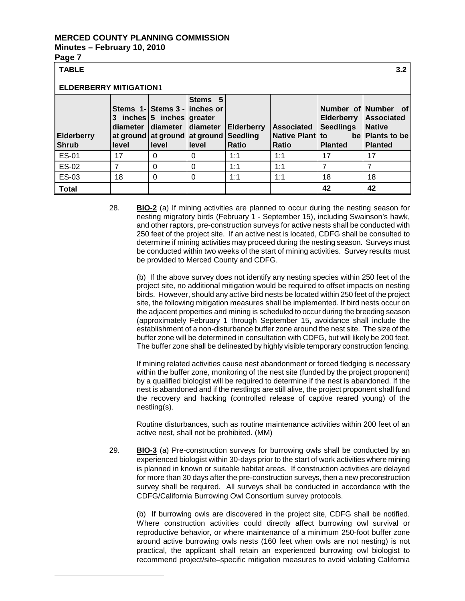# **Page 7**

<span id="page-6-0"></span>Ξ

| <b>TABLE</b><br>3.2               |                        |                                                                                                                           |                  |                                                      |                                                      |                                                         |                                                                                                |  |  |  |
|-----------------------------------|------------------------|---------------------------------------------------------------------------------------------------------------------------|------------------|------------------------------------------------------|------------------------------------------------------|---------------------------------------------------------|------------------------------------------------------------------------------------------------|--|--|--|
| <b>ELDERBERRY MITIGATION1</b>     |                        |                                                                                                                           |                  |                                                      |                                                      |                                                         |                                                                                                |  |  |  |
| <b>Elderberry</b><br><b>Shrub</b> | 3<br>diameter<br>level | Stems 1-Stems 3 - linches or<br>inches $ 5$ inches greater<br>diameter diameter<br>at ground at ground at ground<br>level | Stems 5<br>level | <b>Elderberry</b><br><b>Seedling</b><br><b>Ratio</b> | <b>Associated</b><br>Native Plant to<br><b>Ratio</b> | <b>Elderberry</b><br><b>Seedlings</b><br><b>Planted</b> | Number of Number of<br><b>Associated</b><br><b>Native</b><br>be Plants to be<br><b>Planted</b> |  |  |  |
| <b>ES-01</b>                      | 17                     | 0                                                                                                                         | 0                | 1:1                                                  | 1:1                                                  | 17                                                      | 17                                                                                             |  |  |  |
| ES-02                             | 7                      | $\Omega$                                                                                                                  | $\Omega$         | 1:1                                                  | 1:1                                                  | 7                                                       | 7                                                                                              |  |  |  |
| <b>ES-03</b>                      | 18                     | 0                                                                                                                         | $\Omega$         | 1:1                                                  | 1:1                                                  | 18                                                      | 18                                                                                             |  |  |  |
| <b>Total</b>                      |                        |                                                                                                                           |                  |                                                      |                                                      | 42                                                      | 42                                                                                             |  |  |  |

28. **BIO-2** (a) If mining activities are planned to occur during the nesting season for nesting migratory birds (February 1 - September 15), including Swainson's hawk, and other raptors, pre-construction surveys for active nests shall be conducted with 250 feet of the project site. If an active nest is located, CDFG shall be consulted to determine if mining activities may proceed during the nesting season. Surveys must be conducted within two weeks of the start of mining activities. Survey results must be provided to Merced County and CDFG.

(b) If the above survey does not identify any nesting species within 250 feet of the project site, no additional mitigation would be required to offset impacts on nesting birds. However, should any active bird nests be located within 250 feet of the project site, the following mitigation measures shall be implemented. If bird nests occur on the adjacent properties and mining is scheduled to occur during the breeding season (approximately February 1 through September 15, avoidance shall include the establishment of a non-disturbance buffer zone around the nest site. The size of the buffer zone will be determined in consultation with CDFG, but will likely be 200 feet. The buffer zone shall be delineated by highly visible temporary construction fencing.

If mining related activities cause nest abandonment or forced fledging is necessary within the buffer zone, monitoring of the nest site (funded by the project proponent) by a qualified biologist will be required to determine if the nest is abandoned. If the nest is abandoned and if the nestlings are still alive, the project proponent shall fund the recovery and hacking (controlled release of captive reared young) of the nestling(s).

Routine disturbances, such as routine maintenance activities within 200 feet of an active nest, shall not be prohibited. (MM)

29. **BIO-3** (a) Pre-construction surveys for burrowing owls shall be conducted by an experienced biologist within 30-days prior to the start of work activities where mining is planned in known or suitable habitat areas. If construction activities are delayed for more than 30 days after the pre-construction surveys, then a new preconstruction survey shall be required. All surveys shall be conducted in accordance with the CDFG/California Burrowing Owl Consortium survey protocols.

(b) If burrowing owls are discovered in the project site, CDFG shall be notified. Where construction activities could directly affect burrowing owl survival or reproductive behavior, or where maintenance of a minimum 250-foot buffer zone around active burrowing owls nests (160 feet when owls are not nesting) is not practical, the applicant shall retain an experienced burrowing owl biologist to recommend project/site–specific mitigation measures to avoid violating California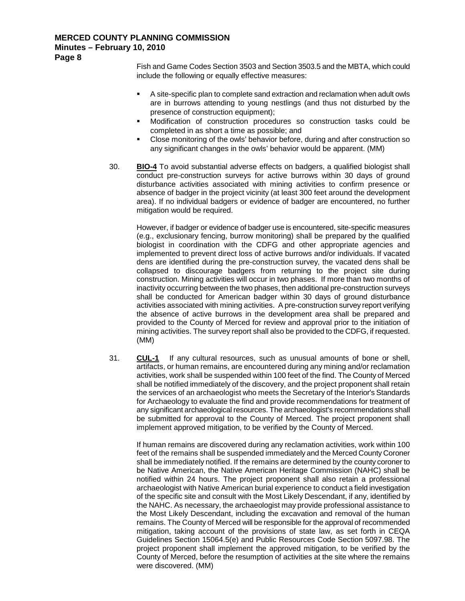**Page 8**

Fish and Game Codes Section 3503 and Section 3503.5 and the MBTA, which could include the following or equally effective measures:

- A site-specific plan to complete sand extraction and reclamation when adult owls are in burrows attending to young nestlings (and thus not disturbed by the presence of construction equipment);
- Modification of construction procedures so construction tasks could be completed in as short a time as possible; and
- Close monitoring of the owls' behavior before, during and after construction so any significant changes in the owls' behavior would be apparent. (MM)
- 30. **BIO-4** To avoid substantial adverse effects on badgers, a qualified biologist shall conduct pre-construction surveys for active burrows within 30 days of ground disturbance activities associated with mining activities to confirm presence or absence of badger in the project vicinity (at least 300 feet around the development area). If no individual badgers or evidence of badger are encountered, no further mitigation would be required.

However, if badger or evidence of badger use is encountered, site-specific measures (e.g., exclusionary fencing, burrow monitoring) shall be prepared by the qualified biologist in coordination with the CDFG and other appropriate agencies and implemented to prevent direct loss of active burrows and/or individuals. If vacated dens are identified during the pre-construction survey, the vacated dens shall be collapsed to discourage badgers from returning to the project site during construction. Mining activities will occur in two phases. If more than two months of inactivity occurring between the two phases, then additional pre-construction surveys shall be conducted for American badger within 30 days of ground disturbance activities associated with mining activities. A pre-construction survey report verifying the absence of active burrows in the development area shall be prepared and provided to the County of Merced for review and approval prior to the initiation of mining activities. The survey report shall also be provided to the CDFG, if requested. (MM)

31. **CUL-1** If any cultural resources, such as unusual amounts of bone or shell, artifacts, or human remains, are encountered during any mining and/or reclamation activities, work shall be suspended within 100 feet of the find. The County of Merced shall be notified immediately of the discovery, and the project proponent shall retain the services of an archaeologist who meets the Secretary of the Interior's Standards for Archaeology to evaluate the find and provide recommendations for treatment of any significant archaeological resources. The archaeologist's recommendations shall be submitted for approval to the County of Merced. The project proponent shall implement approved mitigation, to be verified by the County of Merced.

If human remains are discovered during any reclamation activities, work within 100 feet of the remains shall be suspended immediately and the Merced County Coroner shall be immediately notified. If the remains are determined by the county coroner to be Native American, the Native American Heritage Commission (NAHC) shall be notified within 24 hours. The project proponent shall also retain a professional archaeologist with Native American burial experience to conduct a field investigation of the specific site and consult with the Most Likely Descendant, if any, identified by the NAHC. As necessary, the archaeologist may provide professional assistance to the Most Likely Descendant, including the excavation and removal of the human remains. The County of Merced will be responsible for the approval of recommended mitigation, taking account of the provisions of state law, as set forth in CEQA Guidelines Section 15064.5(e) and Public Resources Code Section 5097.98. The project proponent shall implement the approved mitigation, to be verified by the County of Merced, before the resumption of activities at the site where the remains were discovered. (MM)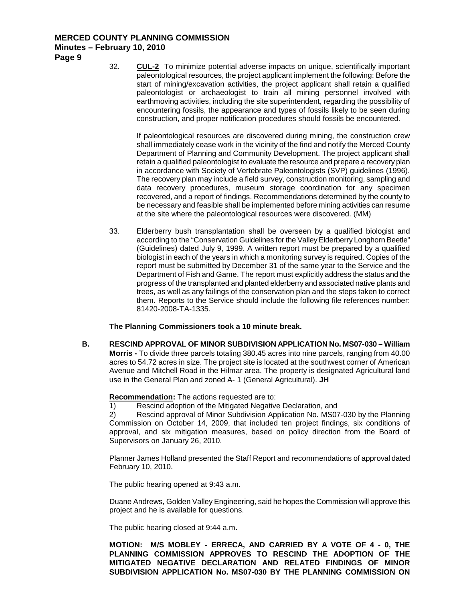**Page 9**

32. **CUL-2** To minimize potential adverse impacts on unique, scientifically important paleontological resources, the project applicant implement the following: Before the start of mining/excavation activities, the project applicant shall retain a qualified paleontologist or archaeologist to train all mining personnel involved with earthmoving activities, including the site superintendent, regarding the possibility of encountering fossils, the appearance and types of fossils likely to be seen during construction, and proper notification procedures should fossils be encountered.

If paleontological resources are discovered during mining, the construction crew shall immediately cease work in the vicinity of the find and notify the Merced County Department of Planning and Community Development. The project applicant shall retain a qualified paleontologist to evaluate the resource and prepare a recovery plan in accordance with Society of Vertebrate Paleontologists (SVP) guidelines (1996). The recovery plan may include a field survey, construction monitoring, sampling and data recovery procedures, museum storage coordination for any specimen recovered, and a report of findings. Recommendations determined by the county to be necessary and feasible shall be implemented before mining activities can resume at the site where the paleontological resources were discovered. (MM)

33. Elderberry bush transplantation shall be overseen by a qualified biologist and according to the "Conservation Guidelines for the Valley Elderberry Longhorn Beetle" (Guidelines) dated July 9, 1999. A written report must be prepared by a qualified biologist in each of the years in which a monitoring survey is required. Copies of the report must be submitted by December 31 of the same year to the Service and the Department of Fish and Game. The report must explicitly address the status and the progress of the transplanted and planted elderberry and associated native plants and trees, as well as any failings of the conservation plan and the steps taken to correct them. Reports to the Service should include the following file references number: 81420-2008-TA-1335.

## **The Planning Commissioners took a 10 minute break.**

**B. RESCIND APPROVAL OF MINOR SUBDIVISION APPLICATION No. MS07-030 – William Morris -** To divide three parcels totaling 380.45 acres into nine parcels, ranging from 40.00 acres to 54.72 acres in size. The project site is located at the southwest corner of American Avenue and Mitchell Road in the Hilmar area. The property is designated Agricultural land use in the General Plan and zoned A- 1 (General Agricultural). **JH**

## **Recommendation:** The actions requested are to:

1) Rescind adoption of the Mitigated Negative Declaration, and

2) Rescind approval of Minor Subdivision Application No. MS07-030 by the Planning Commission on October 14, 2009, that included ten project findings, six conditions of approval, and six mitigation measures, based on policy direction from the Board of Supervisors on January 26, 2010.

Planner James Holland presented the Staff Report and recommendations of approval dated February 10, 2010.

The public hearing opened at 9:43 a.m.

Duane Andrews, Golden Valley Engineering, said he hopes the Commission will approve this project and he is available for questions.

The public hearing closed at 9:44 a.m.

**MOTION: M/S MOBLEY - ERRECA, AND CARRIED BY A VOTE OF 4 - 0, THE PLANNING COMMISSION APPROVES TO RESCIND THE ADOPTION OF THE MITIGATED NEGATIVE DECLARATION AND RELATED FINDINGS OF MINOR SUBDIVISION APPLICATION No. MS07-030 BY THE PLANNING COMMISSION ON**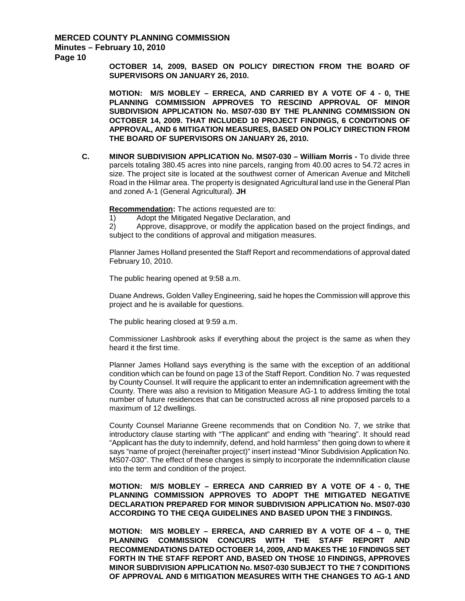**Page 10**

**OCTOBER 14, 2009, BASED ON POLICY DIRECTION FROM THE BOARD OF SUPERVISORS ON JANUARY 26, 2010.**

**MOTION: M/S MOBLEY – ERRECA, AND CARRIED BY A VOTE OF 4 - 0, THE PLANNING COMMISSION APPROVES TO RESCIND APPROVAL OF MINOR SUBDIVISION APPLICATION No. MS07-030 BY THE PLANNING COMMISSION ON OCTOBER 14, 2009. THAT INCLUDED 10 PROJECT FINDINGS, 6 CONDITIONS OF APPROVAL, AND 6 MITIGATION MEASURES, BASED ON POLICY DIRECTION FROM THE BOARD OF SUPERVISORS ON JANUARY 26, 2010.**

**C. MINOR SUBDIVISION APPLICATION No. MS07-030 – William Morris -** To divide three parcels totaling 380.45 acres into nine parcels, ranging from 40.00 acres to 54.72 acres in size. The project site is located at the southwest corner of American Avenue and Mitchell Road in the Hilmar area. The property is designated Agricultural land use in the General Plan and zoned A-1 (General Agricultural). **JH**

**Recommendation:** The actions requested are to:

1) Adopt the Mitigated Negative Declaration, and

2) Approve, disapprove, or modify the application based on the project findings, and subject to the conditions of approval and mitigation measures.

Planner James Holland presented the Staff Report and recommendations of approval dated February 10, 2010.

The public hearing opened at 9:58 a.m.

Duane Andrews, Golden Valley Engineering, said he hopes the Commission will approve this project and he is available for questions.

The public hearing closed at 9:59 a.m.

Commissioner Lashbrook asks if everything about the project is the same as when they heard it the first time.

Planner James Holland says everything is the same with the exception of an additional condition which can be found on page 13 of the Staff Report. Condition No. 7 was requested by County Counsel. It will require the applicant to enter an indemnification agreement with the County. There was also a revision to Mitigation Measure AG-1 to address limiting the total number of future residences that can be constructed across all nine proposed parcels to a maximum of 12 dwellings.

County Counsel Marianne Greene recommends that on Condition No. 7, we strike that introductory clause starting with "The applicant" and ending with "hearing". It should read "Applicant has the duty to indemnify, defend, and hold harmless" then going down to where it says "name of project (hereinafter project)" insert instead "Minor Subdivision Application No. MS07-030". The effect of these changes is simply to incorporate the indemnification clause into the term and condition of the project.

**MOTION: M/S MOBLEY – ERRECA AND CARRIED BY A VOTE OF 4 - 0, THE PLANNING COMMISSION APPROVES TO ADOPT THE MITIGATED NEGATIVE DECLARATION PREPARED FOR MINOR SUBDIVISION APPLICATION No. MS07-030 ACCORDING TO THE CEQA GUIDELINES AND BASED UPON THE 3 FINDINGS.**

**MOTION: M/S MOBLEY – ERRECA, AND CARRIED BY A VOTE OF 4 – 0, THE PLANNING COMMISSION CONCURS WITH THE STAFF REPORT AND RECOMMENDATIONS DATED OCTOBER 14, 2009, AND MAKES THE 10 FINDINGS SET FORTH IN THE STAFF REPORT AND, BASED ON THOSE 10 FINDINGS, APPROVES MINOR SUBDIVISION APPLICATION No. MS07-030 SUBJECT TO THE 7 CONDITIONS OF APPROVAL AND 6 MITIGATION MEASURES WITH THE CHANGES TO AG-1 AND**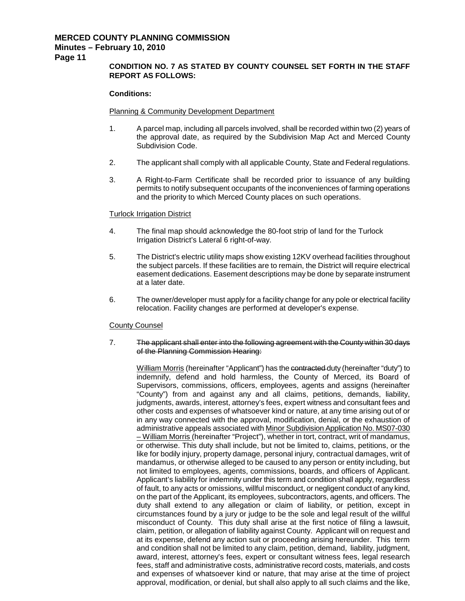**Page 11**

## **CONDITION NO. 7 AS STATED BY COUNTY COUNSEL SET FORTH IN THE STAFF REPORT AS FOLLOWS:**

#### **Conditions:**

#### Planning & Community Development Department

- 1. A parcel map, including all parcels involved, shall be recorded within two (2) years of the approval date, as required by the Subdivision Map Act and Merced County Subdivision Code.
- 2. The applicant shall comply with all applicable County, State and Federal regulations.
- 3. A Right-to-Farm Certificate shall be recorded prior to issuance of any building permits to notify subsequent occupants of the inconveniences of farming operations and the priority to which Merced County places on such operations.

#### Turlock Irrigation District

- 4. The final map should acknowledge the 80-foot strip of land for the Turlock Irrigation District's Lateral 6 right-of-way.
- 5. The District's electric utility maps show existing 12KV overhead facilities throughout the subject parcels. If these facilities are to remain, the District will require electrical easement dedications. Easement descriptions may be done by separate instrument at a later date.
- 6. The owner/developer must apply for a facility change for any pole or electrical facility relocation. Facility changes are performed at developer's expense.

#### County Counsel

7. The applicant shall enter into the following agreement with the County within 30 days of the Planning Commission Hearing:

William Morris (hereinafter "Applicant") has the contracted duty (hereinafter "duty") to indemnify, defend and hold harmless, the County of Merced, its Board of Supervisors, commissions, officers, employees, agents and assigns (hereinafter "County") from and against any and all claims, petitions, demands, liability, judgments, awards, interest, attorney's fees, expert witness and consultant fees and other costs and expenses of whatsoever kind or nature, at any time arising out of or in any way connected with the approval, modification, denial, or the exhaustion of administrative appeals associated with Minor Subdivision Application No. MS07-030 – William Morris (hereinafter "Project"), whether in tort, contract, writ of mandamus, or otherwise. This duty shall include, but not be limited to, claims, petitions, or the like for bodily injury, property damage, personal injury, contractual damages, writ of mandamus, or otherwise alleged to be caused to any person or entity including, but not limited to employees, agents, commissions, boards, and officers of Applicant. Applicant's liability for indemnity under this term and condition shall apply, regardless of fault, to any acts or omissions, willful misconduct, or negligent conduct of any kind, on the part of the Applicant, its employees, subcontractors, agents, and officers. The duty shall extend to any allegation or claim of liability, or petition, except in circumstances found by a jury or judge to be the sole and legal result of the willful misconduct of County. This duty shall arise at the first notice of filing a lawsuit, claim, petition, or allegation of liability against County. Applicant will on request and at its expense, defend any action suit or proceeding arising hereunder. This term and condition shall not be limited to any claim, petition, demand, liability, judgment, award, interest, attorney's fees, expert or consultant witness fees, legal research fees, staff and administrative costs, administrative record costs, materials, and costs and expenses of whatsoever kind or nature, that may arise at the time of project approval, modification, or denial, but shall also apply to all such claims and the like,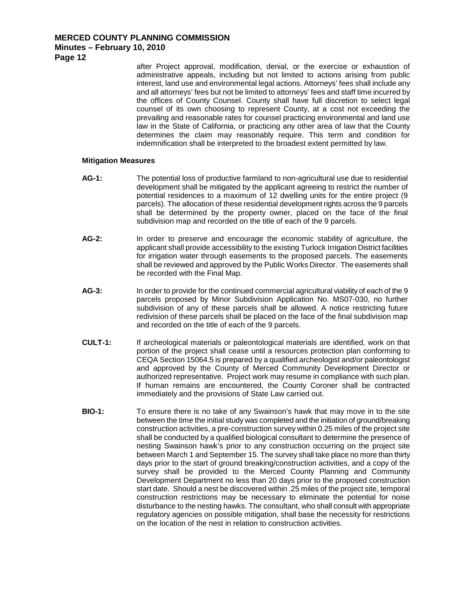**Page 12**

after Project approval, modification, denial, or the exercise or exhaustion of administrative appeals, including but not limited to actions arising from public interest, land use and environmental legal actions. Attorneys' fees shall include any and all attorneys' fees but not be limited to attorneys' fees and staff time incurred by the offices of County Counsel. County shall have full discretion to select legal counsel of its own choosing to represent County, at a cost not exceeding the prevailing and reasonable rates for counsel practicing environmental and land use law in the State of California, or practicing any other area of law that the County determines the claim may reasonably require. This term and condition for indemnification shall be interpreted to the broadest extent permitted by law.

#### **Mitigation Measures**

- **AG-1:** The potential loss of productive farmland to non-agricultural use due to residential development shall be mitigated by the applicant agreeing to restrict the number of potential residences to a maximum of 12 dwelling units for the entire project (9 parcels). The allocation of these residential development rights across the 9 parcels shall be determined by the property owner, placed on the face of the final subdivision map and recorded on the title of each of the 9 parcels.
- **AG-2:** In order to preserve and encourage the economic stability of agriculture, the applicant shall provide accessibility to the existing Turlock Irrigation District facilities for irrigation water through easements to the proposed parcels. The easements shall be reviewed and approved by the Public Works Director. The easements shall be recorded with the Final Map.
- **AG-3:** In order to provide for the continued commercial agricultural viability of each of the 9 parcels proposed by Minor Subdivision Application No. MS07-030, no further subdivision of any of these parcels shall be allowed. A notice restricting future redivision of these parcels shall be placed on the face of the final subdivision map and recorded on the title of each of the 9 parcels.
- **CULT-1:** If archeological materials or paleontological materials are identified, work on that portion of the project shall cease until a resources protection plan conforming to CEQA Section 15064.5 is prepared by a qualified archeologist and/or paleontologist and approved by the County of Merced Community Development Director or authorized representative. Project work may resume in compliance with such plan. If human remains are encountered, the County Coroner shall be contracted immediately and the provisions of State Law carried out.
- **BIO-1:** To ensure there is no take of any Swainson's hawk that may move in to the site between the time the initial study was completed and the initiation of ground/breaking construction activities, a pre-construction survey within 0.25 miles of the project site shall be conducted by a qualified biological consultant to determine the presence of nesting Swainson hawk's prior to any construction occurring on the project site between March 1 and September 15. The survey shall take place no more than thirty days prior to the start of ground breaking/construction activities, and a copy of the survey shall be provided to the Merced County Planning and Community Development Department no less than 20 days prior to the proposed construction start date. Should a nest be discovered within .25 miles of the project site, temporal construction restrictions may be necessary to eliminate the potential for noise disturbance to the nesting hawks. The consultant, who shall consult with appropriate regulatory agencies on possible mitigation, shall base the necessity for restrictions on the location of the nest in relation to construction activities.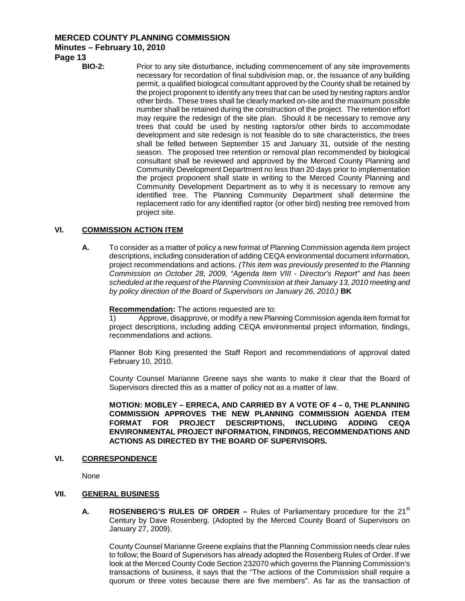## **MERCED COUNTY PLANNING COMMISSION**

#### **Minutes – February 10, 2010**

**Page 13**

**BIO-2:** Prior to any site disturbance, including commencement of any site improvements necessary for recordation of final subdivision map, or, the issuance of any building permit, a qualified biological consultant approved by the County shall be retained by the project proponent to identify any trees that can be used by nesting raptors and/or other birds. These trees shall be clearly marked on-site and the maximum possible number shall be retained during the construction of the project. The retention effort may require the redesign of the site plan. Should it be necessary to remove any trees that could be used by nesting raptors/or other birds to accommodate development and site redesign is not feasible do to site characteristics, the trees shall be felled between September 15 and January 31, outside of the nesting season. The proposed tree retention or removal plan recommended by biological consultant shall be reviewed and approved by the Merced County Planning and Community Development Department no less than 20 days prior to implementation the project proponent shall state in writing to the Merced County Planning and Community Development Department as to why it is necessary to remove any identified tree. The Planning Community Department shall determine the replacement ratio for any identified raptor (or other bird) nesting tree removed from project site.

## **VI. COMMISSION ACTION ITEM**

**A.** To consider as a matter of policy a new format of Planning Commission agenda item project descriptions, including consideration of adding CEQA environmental document information, project recommendations and actions. *(This item was previously presented to the Planning Commission on October 28, 2009, "Agenda Item VIII - Director's Report" and has been scheduled at the request of the Planning Commission at their January 13, 2010 meeting and by policy direction of the Board of Supervisors on January 26, 2010.)* **BK**

**Recommendation:** The actions requested are to:

1) Approve, disapprove, or modify a new Planning Commission agenda item format for project descriptions, including adding CEQA environmental project information, findings, recommendations and actions.

Planner Bob King presented the Staff Report and recommendations of approval dated February 10, 2010.

County Counsel Marianne Greene says she wants to make it clear that the Board of Supervisors directed this as a matter of policy not as a matter of law.

**MOTION: MOBLEY – ERRECA, AND CARRIED BY A VOTE OF 4 – 0, THE PLANNING COMMISSION APPROVES THE NEW PLANNING COMMISSION AGENDA ITEM FORMAT FOR PROJECT DESCRIPTIONS, INCLUDING ADDING CEQA ENVIRONMENTAL PROJECT INFORMATION, FINDINGS, RECOMMENDATIONS AND ACTIONS AS DIRECTED BY THE BOARD OF SUPERVISORS.**

#### **VI. CORRESPONDENCE**

None

#### **VII. GENERAL BUSINESS**

**A. ROSENBERG'S RULES OF ORDER** – Rules of Parliamentary procedure for the 21<sup>st</sup> Century by Dave Rosenberg. (Adopted by the Merced County Board of Supervisors on January 27, 2009).

County Counsel Marianne Greene explains that the Planning Commission needs clear rules to follow; the Board of Supervisors has already adopted the Rosenberg Rules of Order. If we look at the Merced County Code Section 232070 which governs the Planning Commission's transactions of business, it says that the "The actions of the Commission shall require a quorum or three votes because there are five members". As far as the transaction of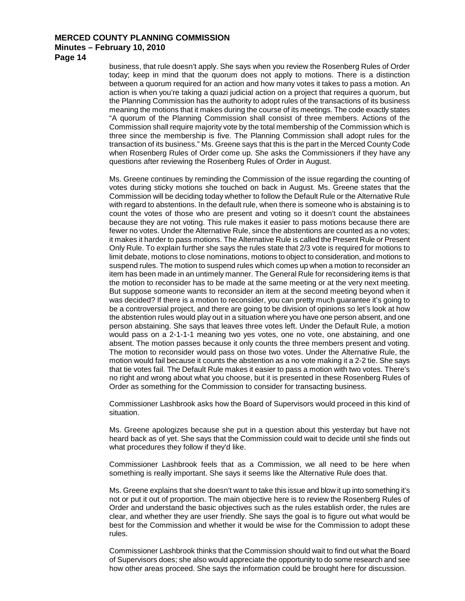**Page 14**

business, that rule doesn't apply. She says when you review the Rosenberg Rules of Order today; keep in mind that the quorum does not apply to motions. There is a distinction between a quorum required for an action and how many votes it takes to pass a motion. An action is when you're taking a quazi judicial action on a project that requires a quorum, but the Planning Commission has the authority to adopt rules of the transactions of its business meaning the motions that it makes during the course of its meetings. The code exactly states "A quorum of the Planning Commission shall consist of three members. Actions of the Commission shall require majority vote by the total membership of the Commission which is three since the membership is five. The Planning Commission shall adopt rules for the transaction of its business." Ms. Greene says that this is the part in the Merced County Code when Rosenberg Rules of Order come up. She asks the Commissioners if they have any questions after reviewing the Rosenberg Rules of Order in August.

Ms. Greene continues by reminding the Commission of the issue regarding the counting of votes during sticky motions she touched on back in August. Ms. Greene states that the Commission will be deciding today whether to follow the Default Rule or the Alternative Rule with regard to abstentions. In the default rule, when there is someone who is abstaining is to count the votes of those who are present and voting so it doesn't count the abstainees because they are not voting. This rule makes it easier to pass motions because there are fewer no votes. Under the Alternative Rule, since the abstentions are counted as a no votes; it makes it harder to pass motions. The Alternative Rule is called the Present Rule or Present Only Rule. To explain further she says the rules state that 2/3 vote is required for motions to limit debate, motions to close nominations, motions to object to consideration, and motions to suspend rules. The motion to suspend rules which comes up when a motion to reconsider an item has been made in an untimely manner. The General Rule for reconsidering items is that the motion to reconsider has to be made at the same meeting or at the very next meeting. But suppose someone wants to reconsider an item at the second meeting beyond when it was decided? If there is a motion to reconsider, you can pretty much guarantee it's going to be a controversial project, and there are going to be division of opinions so let's look at how the abstention rules would play out in a situation where you have one person absent, and one person abstaining. She says that leaves three votes left. Under the Default Rule, a motion would pass on a 2-1-1-1 meaning two yes votes, one no vote, one abstaining, and one absent. The motion passes because it only counts the three members present and voting. The motion to reconsider would pass on those two votes. Under the Alternative Rule, the motion would fail because it counts the abstention as a no vote making it a 2-2 tie. She says that tie votes fail. The Default Rule makes it easier to pass a motion with two votes. There's no right and wrong about what you choose, but it is presented in these Rosenberg Rules of Order as something for the Commission to consider for transacting business.

Commissioner Lashbrook asks how the Board of Supervisors would proceed in this kind of situation.

Ms. Greene apologizes because she put in a question about this yesterday but have not heard back as of yet. She says that the Commission could wait to decide until she finds out what procedures they follow if they'd like.

Commissioner Lashbrook feels that as a Commission, we all need to be here when something is really important. She says it seems like the Alternative Rule does that.

Ms. Greene explains that she doesn't want to take this issue and blow it up into something it's not or put it out of proportion. The main objective here is to review the Rosenberg Rules of Order and understand the basic objectives such as the rules establish order, the rules are clear, and whether they are user friendly. She says the goal is to figure out what would be best for the Commission and whether it would be wise for the Commission to adopt these rules.

Commissioner Lashbrook thinks that the Commission should wait to find out what the Board of Supervisors does; she also would appreciate the opportunity to do some research and see how other areas proceed. She says the information could be brought here for discussion.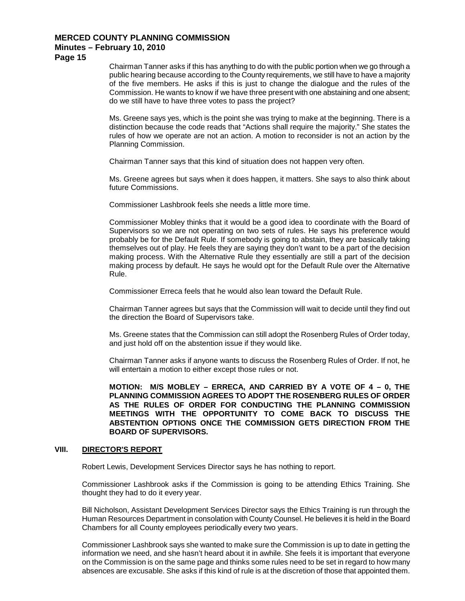**Page 15**

Chairman Tanner asks if this has anything to do with the public portion when we go through a public hearing because according to the County requirements, we still have to have a majority of the five members. He asks if this is just to change the dialogue and the rules of the Commission. He wants to know if we have three present with one abstaining and one absent; do we still have to have three votes to pass the project?

Ms. Greene says yes, which is the point she was trying to make at the beginning. There is a distinction because the code reads that "Actions shall require the majority." She states the rules of how we operate are not an action. A motion to reconsider is not an action by the Planning Commission.

Chairman Tanner says that this kind of situation does not happen very often.

Ms. Greene agrees but says when it does happen, it matters. She says to also think about future Commissions.

Commissioner Lashbrook feels she needs a little more time.

Commissioner Mobley thinks that it would be a good idea to coordinate with the Board of Supervisors so we are not operating on two sets of rules. He says his preference would probably be for the Default Rule. If somebody is going to abstain, they are basically taking themselves out of play. He feels they are saying they don't want to be a part of the decision making process. With the Alternative Rule they essentially are still a part of the decision making process by default. He says he would opt for the Default Rule over the Alternative Rule.

Commissioner Erreca feels that he would also lean toward the Default Rule.

Chairman Tanner agrees but says that the Commission will wait to decide until they find out the direction the Board of Supervisors take.

Ms. Greene states that the Commission can still adopt the Rosenberg Rules of Order today, and just hold off on the abstention issue if they would like.

Chairman Tanner asks if anyone wants to discuss the Rosenberg Rules of Order. If not, he will entertain a motion to either except those rules or not.

**MOTION: M/S MOBLEY – ERRECA, AND CARRIED BY A VOTE OF 4 – 0, THE PLANNING COMMISSION AGREES TO ADOPT THE ROSENBERG RULES OF ORDER AS THE RULES OF ORDER FOR CONDUCTING THE PLANNING COMMISSION MEETINGS WITH THE OPPORTUNITY TO COME BACK TO DISCUSS THE ABSTENTION OPTIONS ONCE THE COMMISSION GETS DIRECTION FROM THE BOARD OF SUPERVISORS.**

#### **VIII. DIRECTOR'S REPORT**

Robert Lewis, Development Services Director says he has nothing to report.

Commissioner Lashbrook asks if the Commission is going to be attending Ethics Training. She thought they had to do it every year.

Bill Nicholson, Assistant Development Services Director says the Ethics Training is run through the Human Resources Department in consolation with County Counsel. He believes it is held in the Board Chambers for all County employees periodically every two years.

Commissioner Lashbrook says she wanted to make sure the Commission is up to date in getting the information we need, and she hasn't heard about it in awhile. She feels it is important that everyone on the Commission is on the same page and thinks some rules need to be set in regard to how many absences are excusable. She asks if this kind of rule is at the discretion of those that appointed them.